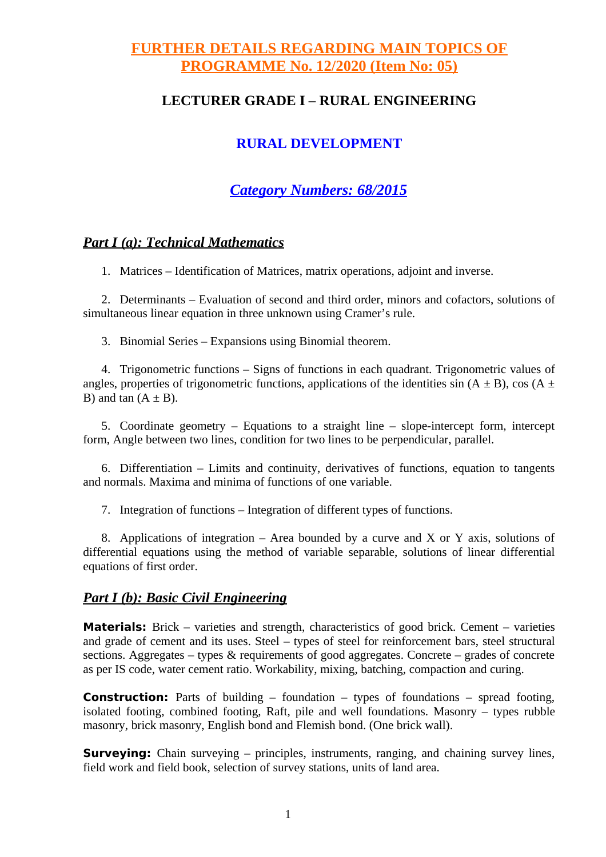# **FURTHER DETAILS REGARDING MAIN TOPICS OF PROGRAMME No. 12/2020 (Item No: 05)**

## **LECTURER GRADE I – RURAL ENGINEERING**

# **RURAL DEVELOPMENT**

# *Category Numbers: 68/2015*

### *Part I (a): Technical Mathematics*

1. Matrices – Identification of Matrices, matrix operations, adjoint and inverse.

2. Determinants – Evaluation of second and third order, minors and cofactors, solutions of simultaneous linear equation in three unknown using Cramer's rule.

3. Binomial Series – Expansions using Binomial theorem.

4. Trigonometric functions – Signs of functions in each quadrant. Trigonometric values of angles, properties of trigonometric functions, applications of the identities sin  $(A \pm B)$ , cos  $(A \pm B)$ B) and tan  $(A \pm B)$ .

5. Coordinate geometry – Equations to a straight line – slope-intercept form, intercept form, Angle between two lines, condition for two lines to be perpendicular, parallel.

6. Differentiation – Limits and continuity, derivatives of functions, equation to tangents and normals. Maxima and minima of functions of one variable.

7. Integration of functions – Integration of different types of functions.

8. Applications of integration – Area bounded by a curve and X or Y axis, solutions of differential equations using the method of variable separable, solutions of linear differential equations of first order.

### *Part I (b): Basic Civil Engineering*

**Materials:** Brick – varieties and strength, characteristics of good brick. Cement – varieties and grade of cement and its uses. Steel – types of steel for reinforcement bars, steel structural sections. Aggregates – types & requirements of good aggregates. Concrete – grades of concrete as per IS code, water cement ratio. Workability, mixing, batching, compaction and curing.

**Construction:** Parts of building – foundation – types of foundations – spread footing, isolated footing, combined footing, Raft, pile and well foundations. Masonry – types rubble masonry, brick masonry, English bond and Flemish bond. (One brick wall).

**Surveying:** Chain surveying – principles, instruments, ranging, and chaining survey lines, field work and field book, selection of survey stations, units of land area.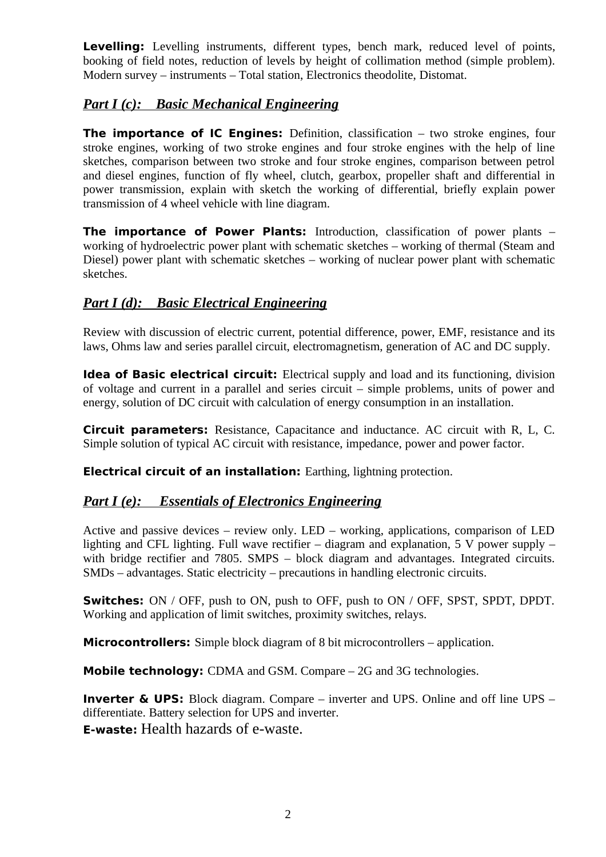Levelling: Levelling instruments, different types, bench mark, reduced level of points, booking of field notes, reduction of levels by height of collimation method (simple problem). Modern survey – instruments – Total station, Electronics theodolite, Distomat.

## *Part I (c): Basic Mechanical Engineering*

**The importance of IC Engines:** Definition, classification – two stroke engines, four stroke engines, working of two stroke engines and four stroke engines with the help of line sketches, comparison between two stroke and four stroke engines, comparison between petrol and diesel engines, function of fly wheel, clutch, gearbox, propeller shaft and differential in power transmission, explain with sketch the working of differential, briefly explain power transmission of 4 wheel vehicle with line diagram.

**The importance of Power Plants:** Introduction, classification of power plants – working of hydroelectric power plant with schematic sketches – working of thermal (Steam and Diesel) power plant with schematic sketches – working of nuclear power plant with schematic sketches.

# *Part I (d): Basic Electrical Engineering*

Review with discussion of electric current, potential difference, power, EMF, resistance and its laws, Ohms law and series parallel circuit, electromagnetism, generation of AC and DC supply.

**Idea of Basic electrical circuit:** Electrical supply and load and its functioning, division of voltage and current in a parallel and series circuit – simple problems, units of power and energy, solution of DC circuit with calculation of energy consumption in an installation.

**Circuit parameters:** Resistance, Capacitance and inductance. AC circuit with R, L, C. Simple solution of typical AC circuit with resistance, impedance, power and power factor.

**Electrical circuit of an installation:** Earthing, lightning protection.

## *Part I (e): Essentials of Electronics Engineering*

Active and passive devices – review only. LED – working, applications, comparison of LED lighting and CFL lighting. Full wave rectifier  $-$  diagram and explanation, 5 V power supply  $$ with bridge rectifier and 7805. SMPS – block diagram and advantages. Integrated circuits. SMDs – advantages. Static electricity – precautions in handling electronic circuits.

**Switches:** ON / OFF, push to ON, push to OFF, push to ON / OFF, SPST, SPDT, DPDT. Working and application of limit switches, proximity switches, relays.

**Microcontrollers:** Simple block diagram of 8 bit microcontrollers – application.

**Mobile technology:** CDMA and GSM. Compare – 2G and 3G technologies.

**Inverter & UPS:** Block diagram. Compare – inverter and UPS. Online and off line UPS – differentiate. Battery selection for UPS and inverter.

**E-waste:** Health hazards of e-waste.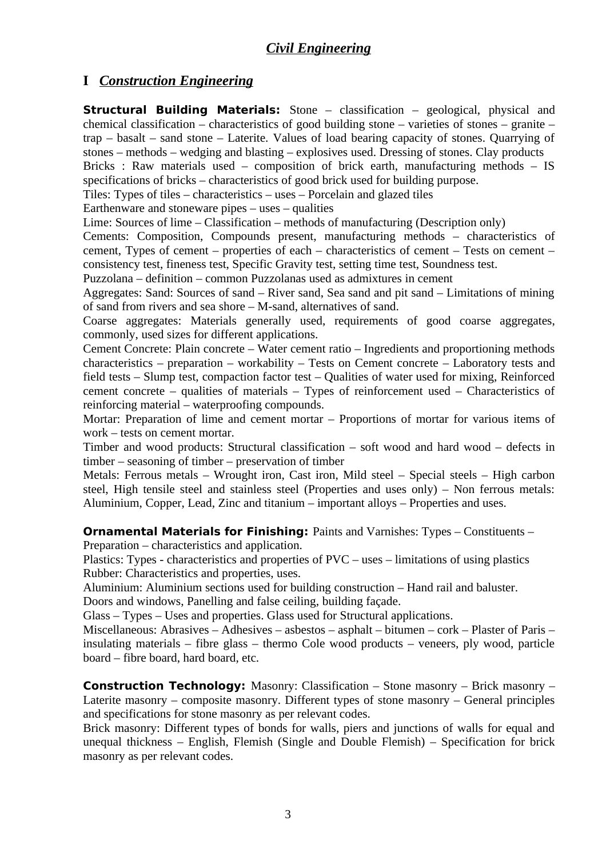# **I** *Construction Engineering*

**Structural Building Materials:** Stone – classification – geological, physical and chemical classification – characteristics of good building stone – varieties of stones – granite – trap – basalt – sand stone – Laterite. Values of load bearing capacity of stones. Quarrying of stones – methods – wedging and blasting – explosives used. Dressing of stones. Clay products Bricks : Raw materials used – composition of brick earth, manufacturing methods – IS specifications of bricks – characteristics of good brick used for building purpose.

Tiles: Types of tiles – characteristics – uses – Porcelain and glazed tiles

Earthenware and stoneware pipes – uses – qualities

Lime: Sources of lime – Classification – methods of manufacturing (Description only)

Cements: Composition, Compounds present, manufacturing methods – characteristics of cement, Types of cement – properties of each – characteristics of cement – Tests on cement – consistency test, fineness test, Specific Gravity test, setting time test, Soundness test.

Puzzolana – definition – common Puzzolanas used as admixtures in cement

Aggregates: Sand: Sources of sand – River sand, Sea sand and pit sand – Limitations of mining of sand from rivers and sea shore – M-sand, alternatives of sand.

Coarse aggregates: Materials generally used, requirements of good coarse aggregates, commonly, used sizes for different applications.

Cement Concrete: Plain concrete – Water cement ratio – Ingredients and proportioning methods characteristics – preparation – workability – Tests on Cement concrete – Laboratory tests and field tests – Slump test, compaction factor test – Qualities of water used for mixing, Reinforced cement concrete – qualities of materials – Types of reinforcement used – Characteristics of reinforcing material – waterproofing compounds.

Mortar: Preparation of lime and cement mortar – Proportions of mortar for various items of work – tests on cement mortar.

Timber and wood products: Structural classification – soft wood and hard wood – defects in timber – seasoning of timber – preservation of timber

Metals: Ferrous metals – Wrought iron, Cast iron, Mild steel – Special steels – High carbon steel, High tensile steel and stainless steel (Properties and uses only) – Non ferrous metals: Aluminium, Copper, Lead, Zinc and titanium – important alloys – Properties and uses.

**Ornamental Materials for Finishing: Paints and Varnishes: Types – Constituents –** Preparation – characteristics and application.

Plastics: Types - characteristics and properties of PVC – uses – limitations of using plastics Rubber: Characteristics and properties, uses.

Aluminium: Aluminium sections used for building construction – Hand rail and baluster. Doors and windows, Panelling and false ceiling, building façade.

Glass – Types – Uses and properties. Glass used for Structural applications.

Miscellaneous: Abrasives – Adhesives – asbestos – asphalt – bitumen – cork – Plaster of Paris – insulating materials – fibre glass – thermo Cole wood products – veneers, ply wood, particle board – fibre board, hard board, etc.

**Construction Technology:** Masonry: Classification – Stone masonry – Brick masonry – Laterite masonry – composite masonry. Different types of stone masonry – General principles and specifications for stone masonry as per relevant codes.

Brick masonry: Different types of bonds for walls, piers and junctions of walls for equal and unequal thickness – English, Flemish (Single and Double Flemish) – Specification for brick masonry as per relevant codes.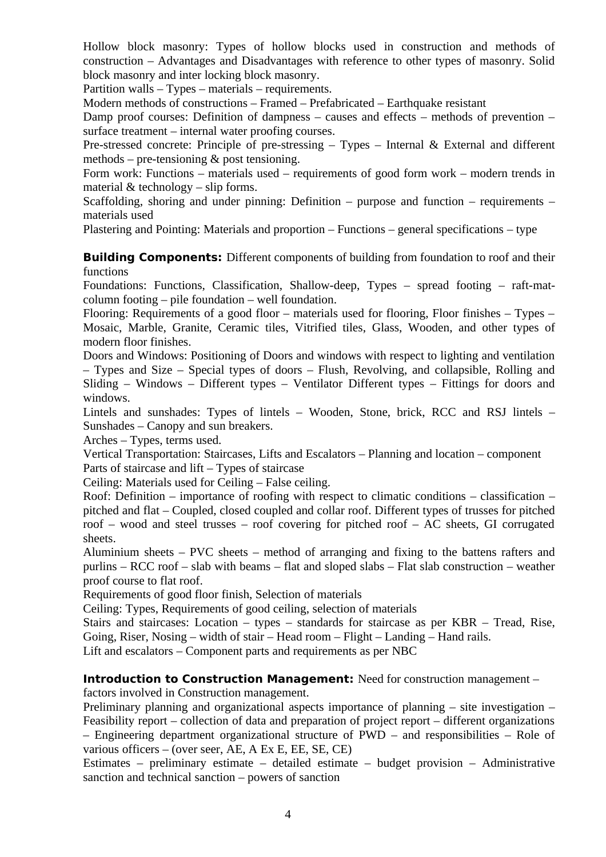Hollow block masonry: Types of hollow blocks used in construction and methods of construction – Advantages and Disadvantages with reference to other types of masonry. Solid block masonry and inter locking block masonry.

Partition walls – Types – materials – requirements.

Modern methods of constructions – Framed – Prefabricated – Earthquake resistant

Damp proof courses: Definition of dampness – causes and effects – methods of prevention – surface treatment – internal water proofing courses.

Pre-stressed concrete: Principle of pre-stressing – Types – Internal & External and different methods – pre-tensioning & post tensioning.

Form work: Functions – materials used – requirements of good form work – modern trends in material & technology – slip forms.

Scaffolding, shoring and under pinning: Definition – purpose and function – requirements – materials used

Plastering and Pointing: Materials and proportion – Functions – general specifications – type

**Building Components:** Different components of building from foundation to roof and their functions

Foundations: Functions, Classification, Shallow-deep, Types – spread footing – raft-matcolumn footing – pile foundation – well foundation.

Flooring: Requirements of a good floor – materials used for flooring, Floor finishes – Types – Mosaic, Marble, Granite, Ceramic tiles, Vitrified tiles, Glass, Wooden, and other types of modern floor finishes.

Doors and Windows: Positioning of Doors and windows with respect to lighting and ventilation – Types and Size – Special types of doors – Flush, Revolving, and collapsible, Rolling and Sliding – Windows – Different types – Ventilator Different types – Fittings for doors and windows.

Lintels and sunshades: Types of lintels – Wooden, Stone, brick, RCC and RSJ lintels – Sunshades – Canopy and sun breakers.

Arches – Types, terms used.

Vertical Transportation: Staircases, Lifts and Escalators – Planning and location – component Parts of staircase and lift – Types of staircase

Ceiling: Materials used for Ceiling – False ceiling.

Roof: Definition – importance of roofing with respect to climatic conditions – classification – pitched and flat – Coupled, closed coupled and collar roof. Different types of trusses for pitched roof – wood and steel trusses – roof covering for pitched roof – AC sheets, GI corrugated sheets.

Aluminium sheets – PVC sheets – method of arranging and fixing to the battens rafters and purlins – RCC roof – slab with beams – flat and sloped slabs – Flat slab construction – weather proof course to flat roof.

Requirements of good floor finish, Selection of materials

Ceiling: Types, Requirements of good ceiling, selection of materials

Stairs and staircases: Location – types – standards for staircase as per KBR – Tread, Rise, Going, Riser, Nosing – width of stair – Head room – Flight – Landing – Hand rails.

Lift and escalators – Component parts and requirements as per NBC

**Introduction to Construction Management:** Need for construction management -

factors involved in Construction management.

Preliminary planning and organizational aspects importance of planning – site investigation – Feasibility report – collection of data and preparation of project report – different organizations – Engineering department organizational structure of PWD – and responsibilities – Role of various officers – (over seer, AE, A Ex E, EE, SE, CE)

Estimates – preliminary estimate – detailed estimate – budget provision – Administrative sanction and technical sanction – powers of sanction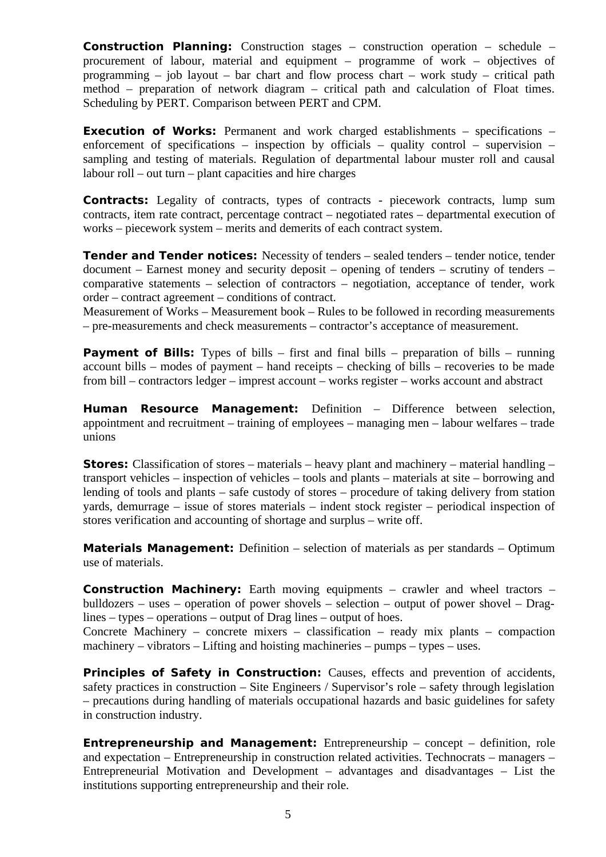**Construction Planning:** Construction stages – construction operation – schedule – procurement of labour, material and equipment – programme of work – objectives of programming – job layout – bar chart and flow process chart – work study – critical path method – preparation of network diagram – critical path and calculation of Float times. Scheduling by PERT. Comparison between PERT and CPM.

**Execution of Works:** Permanent and work charged establishments – specifications – enforcement of specifications – inspection by officials – quality control – supervision – sampling and testing of materials. Regulation of departmental labour muster roll and causal labour roll – out turn – plant capacities and hire charges

**Contracts:** Legality of contracts, types of contracts - piecework contracts, lump sum contracts, item rate contract, percentage contract – negotiated rates – departmental execution of works – piecework system – merits and demerits of each contract system.

**Tender and Tender notices:** Necessity of tenders – sealed tenders – tender notice, tender document – Earnest money and security deposit – opening of tenders – scrutiny of tenders – comparative statements – selection of contractors – negotiation, acceptance of tender, work order – contract agreement – conditions of contract.

Measurement of Works – Measurement book – Rules to be followed in recording measurements – pre-measurements and check measurements – contractor's acceptance of measurement.

**Payment of Bills:** Types of bills – first and final bills – preparation of bills – running account bills – modes of payment – hand receipts – checking of bills – recoveries to be made from bill – contractors ledger – imprest account – works register – works account and abstract

**Human Resource Management:** Definition – Difference between selection, appointment and recruitment – training of employees – managing men – labour welfares – trade unions

**Stores:** Classification of stores – materials – heavy plant and machinery – material handling – transport vehicles – inspection of vehicles – tools and plants – materials at site – borrowing and lending of tools and plants – safe custody of stores – procedure of taking delivery from station yards, demurrage – issue of stores materials – indent stock register – periodical inspection of stores verification and accounting of shortage and surplus – write off.

**Materials Management:** Definition – selection of materials as per standards – Optimum use of materials.

**Construction Machinery:** Earth moving equipments – crawler and wheel tractors – bulldozers – uses – operation of power shovels – selection – output of power shovel – Draglines – types – operations – output of Drag lines – output of hoes.

Concrete Machinery – concrete mixers – classification – ready mix plants – compaction machinery – vibrators – Lifting and hoisting machineries – pumps – types – uses.

**Principles of Safety in Construction:** Causes, effects and prevention of accidents, safety practices in construction – Site Engineers / Supervisor's role – safety through legislation – precautions during handling of materials occupational hazards and basic guidelines for safety in construction industry.

**Entrepreneurship and Management:** Entrepreneurship – concept – definition, role and expectation – Entrepreneurship in construction related activities. Technocrats – managers – Entrepreneurial Motivation and Development – advantages and disadvantages – List the institutions supporting entrepreneurship and their role.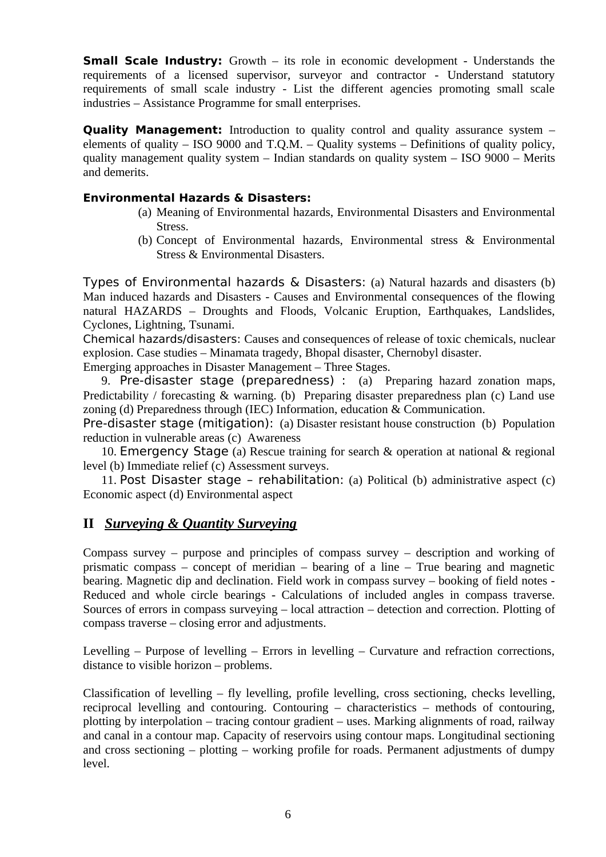**Small Scale Industry:** Growth – its role in economic development - Understands the requirements of a licensed supervisor, surveyor and contractor - Understand statutory requirements of small scale industry - List the different agencies promoting small scale industries – Assistance Programme for small enterprises.

**Quality Management:** Introduction to quality control and quality assurance system – elements of quality – ISO 9000 and T.Q.M. – Quality systems – Definitions of quality policy, quality management quality system  $-$  Indian standards on quality system  $-$  ISO 9000  $-$  Merits and demerits.

#### **Environmental Hazards & Disasters:**

- (a) Meaning of Environmental hazards, Environmental Disasters and Environmental Stress.
- (b) Concept of Environmental hazards, Environmental stress & Environmental Stress & Environmental Disasters.

Types of Environmental hazards & Disasters: (a) Natural hazards and disasters (b) Man induced hazards and Disasters - Causes and Environmental consequences of the flowing natural HAZARDS – Droughts and Floods, Volcanic Eruption, Earthquakes, Landslides, Cyclones, Lightning, Tsunami.

Chemical hazards/disasters: Causes and consequences of release of toxic chemicals, nuclear explosion. Case studies – Minamata tragedy, Bhopal disaster, Chernobyl disaster.

Emerging approaches in Disaster Management – Three Stages.

9. Pre-disaster stage (preparedness) : (a) Preparing hazard zonation maps, Predictability / forecasting & warning. (b) Preparing disaster preparedness plan (c) Land use zoning (d) Preparedness through (IEC) Information, education & Communication.

Pre-disaster stage (mitigation): (a) Disaster resistant house construction (b) Population reduction in vulnerable areas (c) Awareness

10. Emergency Stage (a) Rescue training for search & operation at national & regional level (b) Immediate relief (c) Assessment surveys.

11. Post Disaster stage – rehabilitation: (a) Political (b) administrative aspect (c) Economic aspect (d) Environmental aspect

### **II** *Surveying & Quantity Surveying*

Compass survey – purpose and principles of compass survey – description and working of prismatic compass – concept of meridian – bearing of a line – True bearing and magnetic bearing. Magnetic dip and declination. Field work in compass survey – booking of field notes - Reduced and whole circle bearings - Calculations of included angles in compass traverse. Sources of errors in compass surveying – local attraction – detection and correction. Plotting of compass traverse – closing error and adjustments.

Levelling  $-$  Purpose of levelling  $-$  Errors in levelling  $-$  Curvature and refraction corrections, distance to visible horizon – problems.

Classification of levelling – fly levelling, profile levelling, cross sectioning, checks levelling, reciprocal levelling and contouring. Contouring – characteristics – methods of contouring, plotting by interpolation – tracing contour gradient – uses. Marking alignments of road, railway and canal in a contour map. Capacity of reservoirs using contour maps. Longitudinal sectioning and cross sectioning – plotting – working profile for roads. Permanent adjustments of dumpy level.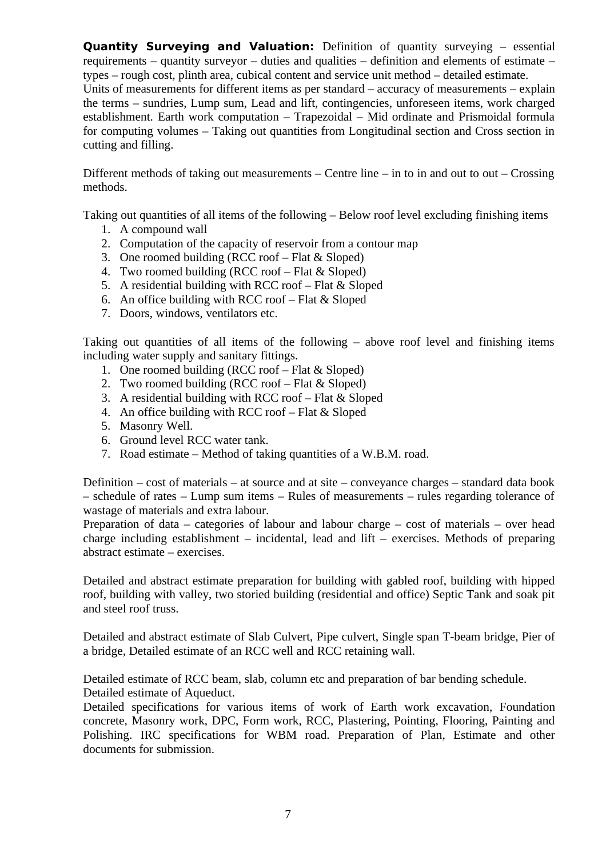**Quantity Surveying and Valuation:** Definition of quantity surveying – essential requirements – quantity surveyor – duties and qualities – definition and elements of estimate – types – rough cost, plinth area, cubical content and service unit method – detailed estimate. Units of measurements for different items as per standard – accuracy of measurements – explain the terms – sundries, Lump sum, Lead and lift, contingencies, unforeseen items, work charged establishment. Earth work computation – Trapezoidal – Mid ordinate and Prismoidal formula for computing volumes – Taking out quantities from Longitudinal section and Cross section in cutting and filling.

Different methods of taking out measurements – Centre line – in to in and out to out – Crossing methods.

Taking out quantities of all items of the following – Below roof level excluding finishing items

- 1. A compound wall
- 2. Computation of the capacity of reservoir from a contour map
- 3. One roomed building (RCC roof Flat & Sloped)
- 4. Two roomed building (RCC roof Flat & Sloped)
- 5. A residential building with RCC roof Flat & Sloped
- 6. An office building with RCC roof Flat & Sloped
- 7. Doors, windows, ventilators etc.

Taking out quantities of all items of the following – above roof level and finishing items including water supply and sanitary fittings.

- 1. One roomed building (RCC roof Flat & Sloped)
- 2. Two roomed building (RCC roof Flat & Sloped)
- 3. A residential building with RCC roof Flat & Sloped
- 4. An office building with RCC roof Flat & Sloped
- 5. Masonry Well.
- 6. Ground level RCC water tank.
- 7. Road estimate Method of taking quantities of a W.B.M. road.

Definition – cost of materials – at source and at site – conveyance charges – standard data book – schedule of rates – Lump sum items – Rules of measurements – rules regarding tolerance of wastage of materials and extra labour.

Preparation of data – categories of labour and labour charge – cost of materials – over head charge including establishment – incidental, lead and lift – exercises. Methods of preparing abstract estimate – exercises.

Detailed and abstract estimate preparation for building with gabled roof, building with hipped roof, building with valley, two storied building (residential and office) Septic Tank and soak pit and steel roof truss.

Detailed and abstract estimate of Slab Culvert, Pipe culvert, Single span T-beam bridge, Pier of a bridge, Detailed estimate of an RCC well and RCC retaining wall.

Detailed estimate of RCC beam, slab, column etc and preparation of bar bending schedule. Detailed estimate of Aqueduct.

Detailed specifications for various items of work of Earth work excavation, Foundation concrete, Masonry work, DPC, Form work, RCC, Plastering, Pointing, Flooring, Painting and Polishing. IRC specifications for WBM road. Preparation of Plan, Estimate and other documents for submission.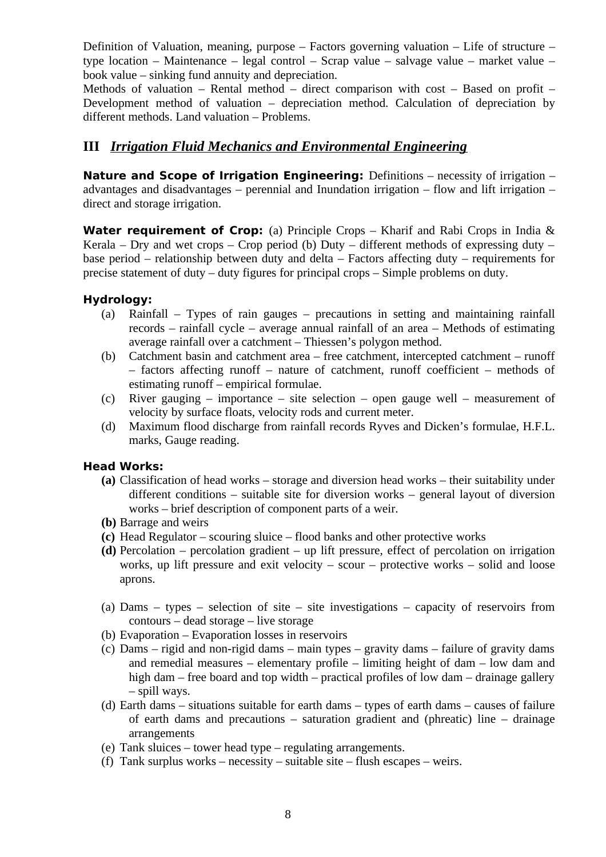Definition of Valuation, meaning, purpose – Factors governing valuation – Life of structure – type location – Maintenance – legal control – Scrap value – salvage value – market value – book value – sinking fund annuity and depreciation.

Methods of valuation – Rental method – direct comparison with cost – Based on profit – Development method of valuation – depreciation method. Calculation of depreciation by different methods. Land valuation – Problems.

### **III** *Irrigation Fluid Mechanics and Environmental Engineering*

**Nature and Scope of Irrigation Engineering:** Definitions – necessity of irrigation – advantages and disadvantages  $-$  perennial and Inundation irrigation  $-$  flow and lift irrigation  $$ direct and storage irrigation.

**Water requirement of Crop:** (a) Principle Crops – Kharif and Rabi Crops in India & Kerala – Dry and wet crops – Crop period (b) Duty – different methods of expressing duty – base period – relationship between duty and delta – Factors affecting duty – requirements for precise statement of duty – duty figures for principal crops – Simple problems on duty.

#### **Hydrology:**

- (a) Rainfall Types of rain gauges precautions in setting and maintaining rainfall records – rainfall cycle – average annual rainfall of an area – Methods of estimating average rainfall over a catchment – Thiessen's polygon method.
- (b) Catchment basin and catchment area free catchment, intercepted catchment runoff – factors affecting runoff – nature of catchment, runoff coefficient – methods of estimating runoff – empirical formulae.
- (c) River gauging importance site selection open gauge well measurement of velocity by surface floats, velocity rods and current meter.
- (d) Maximum flood discharge from rainfall records Ryves and Dicken's formulae, H.F.L. marks, Gauge reading.

#### **Head Works:**

- **(a)** Classification of head works storage and diversion head works their suitability under different conditions – suitable site for diversion works – general layout of diversion works – brief description of component parts of a weir.
- **(b)** Barrage and weirs
- **(c)** Head Regulator scouring sluice flood banks and other protective works
- **(d)** Percolation percolation gradient up lift pressure, effect of percolation on irrigation works, up lift pressure and exit velocity – scour – protective works – solid and loose aprons.
- (a) Dams types selection of site site investigations capacity of reservoirs from contours – dead storage – live storage
- (b) Evaporation Evaporation losses in reservoirs
- (c) Dams rigid and non-rigid dams main types gravity dams failure of gravity dams and remedial measures – elementary profile – limiting height of dam – low dam and high dam – free board and top width – practical profiles of low dam – drainage gallery – spill ways.
- (d) Earth dams situations suitable for earth dams types of earth dams causes of failure of earth dams and precautions – saturation gradient and (phreatic) line – drainage arrangements
- (e) Tank sluices tower head type regulating arrangements.
- (f) Tank surplus works necessity suitable site flush escapes weirs.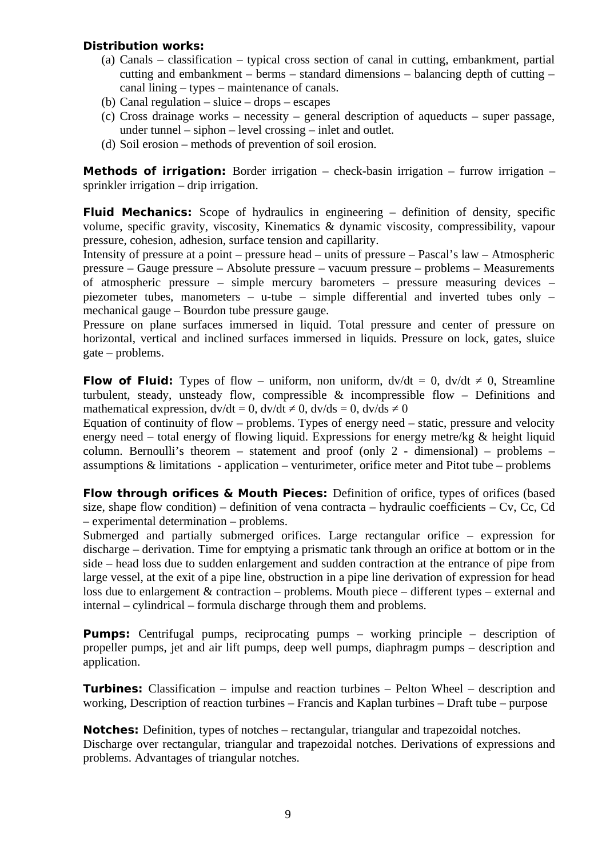#### **Distribution works:**

- (a) Canals classification typical cross section of canal in cutting, embankment, partial cutting and embankment – berms – standard dimensions – balancing depth of cutting – canal lining – types – maintenance of canals.
- (b) Canal regulation sluice drops escapes
- (c) Cross drainage works necessity general description of aqueducts super passage, under tunnel – siphon – level crossing – inlet and outlet.
- (d) Soil erosion methods of prevention of soil erosion.

**Methods of irrigation:** Border irrigation – check-basin irrigation – furrow irrigation – sprinkler irrigation – drip irrigation.

**Fluid Mechanics:** Scope of hydraulics in engineering – definition of density, specific volume, specific gravity, viscosity, Kinematics & dynamic viscosity, compressibility, vapour pressure, cohesion, adhesion, surface tension and capillarity.

Intensity of pressure at a point – pressure head – units of pressure – Pascal's law – Atmospheric pressure – Gauge pressure – Absolute pressure – vacuum pressure – problems – Measurements of atmospheric pressure – simple mercury barometers – pressure measuring devices – piezometer tubes, manometers – u-tube – simple differential and inverted tubes only – mechanical gauge – Bourdon tube pressure gauge.

Pressure on plane surfaces immersed in liquid. Total pressure and center of pressure on horizontal, vertical and inclined surfaces immersed in liquids. Pressure on lock, gates, sluice gate – problems.

**Flow of Fluid:** Types of flow – uniform, non uniform,  $dv/dt = 0$ ,  $dv/dt \neq 0$ , Streamline turbulent, steady, unsteady flow, compressible & incompressible flow – Definitions and mathematical expression,  $dv/dt = 0$ ,  $dv/dt \neq 0$ ,  $dv/ds = 0$ ,  $dv/ds \neq 0$ 

Equation of continuity of flow – problems. Types of energy need – static, pressure and velocity energy need – total energy of flowing liquid. Expressions for energy metre/kg & height liquid column. Bernoulli's theorem – statement and proof (only 2 - dimensional) – problems – assumptions & limitations - application – venturimeter, orifice meter and Pitot tube – problems

**Flow through orifices & Mouth Pieces:** Definition of orifice, types of orifices (based size, shape flow condition) – definition of vena contracta – hydraulic coefficients – Cv, Cc, Cd – experimental determination – problems.

Submerged and partially submerged orifices. Large rectangular orifice – expression for discharge – derivation. Time for emptying a prismatic tank through an orifice at bottom or in the side – head loss due to sudden enlargement and sudden contraction at the entrance of pipe from large vessel, at the exit of a pipe line, obstruction in a pipe line derivation of expression for head loss due to enlargement & contraction – problems. Mouth piece – different types – external and internal – cylindrical – formula discharge through them and problems.

**Pumps:** Centrifugal pumps, reciprocating pumps – working principle – description of propeller pumps, jet and air lift pumps, deep well pumps, diaphragm pumps – description and application.

**Turbines:** Classification – impulse and reaction turbines – Pelton Wheel – description and working, Description of reaction turbines – Francis and Kaplan turbines – Draft tube – purpose

**Notches:** Definition, types of notches – rectangular, triangular and trapezoidal notches. Discharge over rectangular, triangular and trapezoidal notches. Derivations of expressions and problems. Advantages of triangular notches.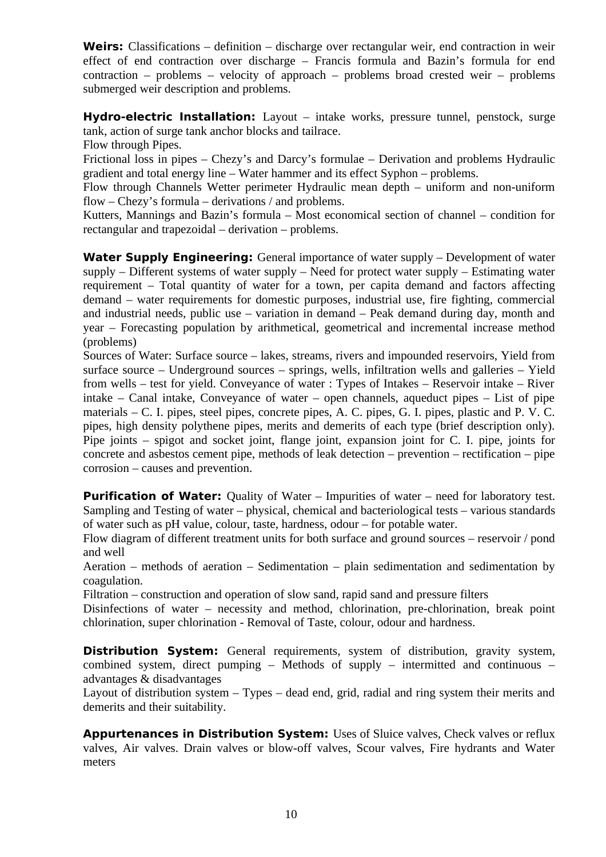Weirs: Classifications – definition – discharge over rectangular weir, end contraction in weir effect of end contraction over discharge – Francis formula and Bazin's formula for end contraction – problems – velocity of approach – problems broad crested weir – problems submerged weir description and problems.

**Hydro-electric Installation:** Layout – intake works, pressure tunnel, penstock, surge tank, action of surge tank anchor blocks and tailrace.

Flow through Pipes.

Frictional loss in pipes – Chezy's and Darcy's formulae – Derivation and problems Hydraulic gradient and total energy line – Water hammer and its effect Syphon – problems.

Flow through Channels Wetter perimeter Hydraulic mean depth – uniform and non-uniform flow – Chezy's formula – derivations / and problems.

Kutters, Mannings and Bazin's formula – Most economical section of channel – condition for rectangular and trapezoidal – derivation – problems.

**Water Supply Engineering:** General importance of water supply – Development of water supply – Different systems of water supply – Need for protect water supply – Estimating water requirement – Total quantity of water for a town, per capita demand and factors affecting demand – water requirements for domestic purposes, industrial use, fire fighting, commercial and industrial needs, public use – variation in demand – Peak demand during day, month and year – Forecasting population by arithmetical, geometrical and incremental increase method (problems)

Sources of Water: Surface source – lakes, streams, rivers and impounded reservoirs, Yield from surface source – Underground sources – springs, wells, infiltration wells and galleries – Yield from wells – test for yield. Conveyance of water : Types of Intakes – Reservoir intake – River intake – Canal intake, Conveyance of water – open channels, aqueduct pipes – List of pipe materials – C. I. pipes, steel pipes, concrete pipes, A. C. pipes, G. I. pipes, plastic and P. V. C. pipes, high density polythene pipes, merits and demerits of each type (brief description only). Pipe joints – spigot and socket joint, flange joint, expansion joint for C. I. pipe, joints for concrete and asbestos cement pipe, methods of leak detection – prevention – rectification – pipe corrosion – causes and prevention.

**Purification of Water:** Quality of Water – Impurities of water – need for laboratory test. Sampling and Testing of water – physical, chemical and bacteriological tests – various standards of water such as pH value, colour, taste, hardness, odour – for potable water.

Flow diagram of different treatment units for both surface and ground sources – reservoir / pond and well

Aeration – methods of aeration – Sedimentation – plain sedimentation and sedimentation by coagulation.

Filtration – construction and operation of slow sand, rapid sand and pressure filters

Disinfections of water – necessity and method, chlorination, pre-chlorination, break point chlorination, super chlorination - Removal of Taste, colour, odour and hardness.

**Distribution System:** General requirements, system of distribution, gravity system, combined system, direct pumping – Methods of supply – intermitted and continuous – advantages & disadvantages

Layout of distribution system – Types – dead end, grid, radial and ring system their merits and demerits and their suitability.

**Appurtenances in Distribution System:** Uses of Sluice valves, Check valves or reflux valves, Air valves. Drain valves or blow-off valves, Scour valves, Fire hydrants and Water meters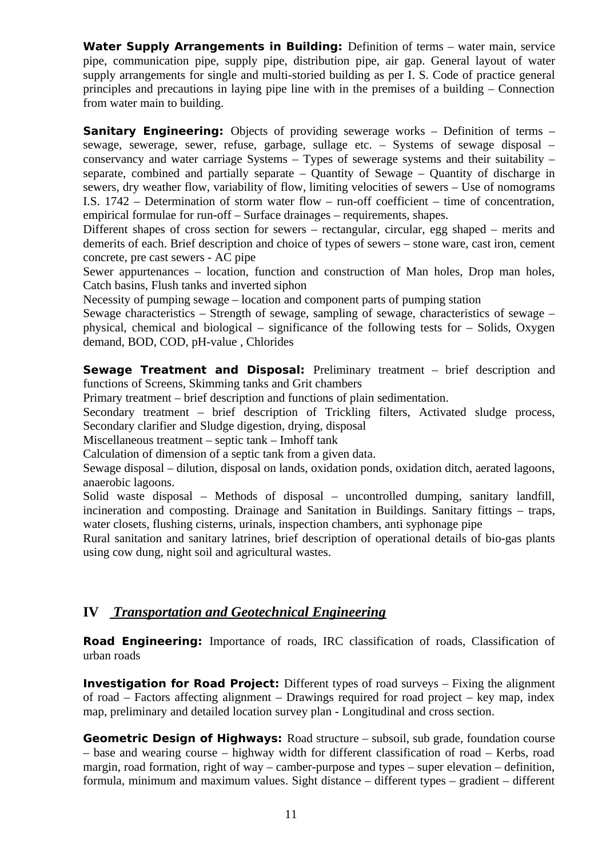**Water Supply Arrangements in Building:** Definition of terms – water main, service pipe, communication pipe, supply pipe, distribution pipe, air gap. General layout of water supply arrangements for single and multi-storied building as per I. S. Code of practice general principles and precautions in laying pipe line with in the premises of a building  $-$  Connection from water main to building.

**Sanitary Engineering:** Objects of providing sewerage works – Definition of terms – sewage, sewerage, sewer, refuse, garbage, sullage etc. – Systems of sewage disposal – conservancy and water carriage Systems  $-$  Types of sewerage systems and their suitability  $$ separate, combined and partially separate – Quantity of Sewage – Quantity of discharge in sewers, dry weather flow, variability of flow, limiting velocities of sewers – Use of nomograms I.S. 1742 – Determination of storm water flow – run-off coefficient – time of concentration, empirical formulae for run-off – Surface drainages – requirements, shapes.

Different shapes of cross section for sewers – rectangular, circular, egg shaped – merits and demerits of each. Brief description and choice of types of sewers – stone ware, cast iron, cement concrete, pre cast sewers - AC pipe

Sewer appurtenances – location, function and construction of Man holes, Drop man holes, Catch basins, Flush tanks and inverted siphon

Necessity of pumping sewage – location and component parts of pumping station

Sewage characteristics  $-$  Strength of sewage, sampling of sewage, characteristics of sewage  $$ physical, chemical and biological – significance of the following tests for – Solids, Oxygen demand, BOD, COD, pH-value , Chlorides

**Sewage Treatment and Disposal:** Preliminary treatment – brief description and functions of Screens, Skimming tanks and Grit chambers

Primary treatment – brief description and functions of plain sedimentation.

Secondary treatment – brief description of Trickling filters, Activated sludge process, Secondary clarifier and Sludge digestion, drying, disposal

Miscellaneous treatment – septic tank – Imhoff tank

Calculation of dimension of a septic tank from a given data.

Sewage disposal – dilution, disposal on lands, oxidation ponds, oxidation ditch, aerated lagoons, anaerobic lagoons.

Solid waste disposal – Methods of disposal – uncontrolled dumping, sanitary landfill, incineration and composting. Drainage and Sanitation in Buildings. Sanitary fittings – traps, water closets, flushing cisterns, urinals, inspection chambers, anti syphonage pipe

Rural sanitation and sanitary latrines, brief description of operational details of bio-gas plants using cow dung, night soil and agricultural wastes.

## **IV** *Transportation and Geotechnical Engineering*

**Road Engineering:** Importance of roads, IRC classification of roads, Classification of urban roads

**Investigation for Road Project:** Different types of road surveys – Fixing the alignment of road – Factors affecting alignment – Drawings required for road project – key map, index map, preliminary and detailed location survey plan - Longitudinal and cross section.

**Geometric Design of Highways:** Road structure – subsoil, sub grade, foundation course – base and wearing course – highway width for different classification of road – Kerbs, road margin, road formation, right of way – camber-purpose and types – super elevation – definition, formula, minimum and maximum values. Sight distance – different types – gradient – different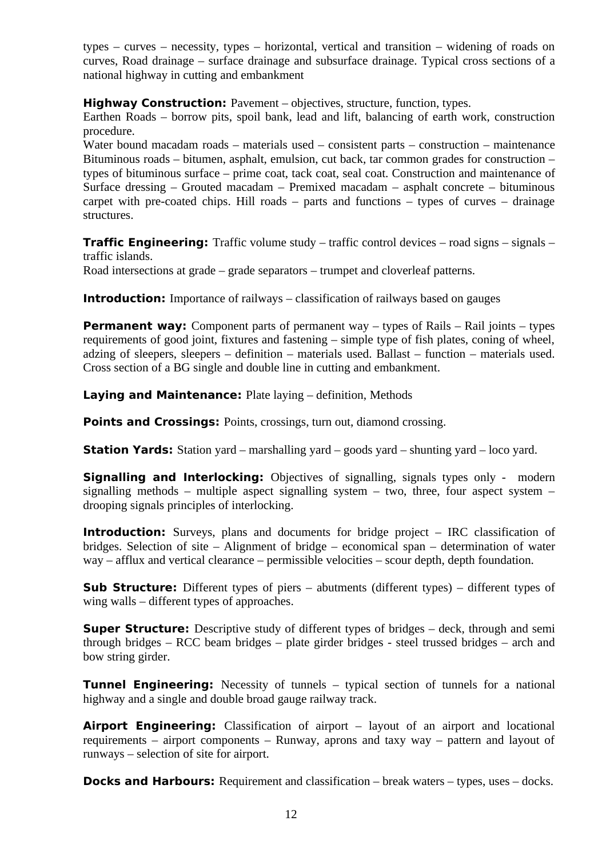types – curves – necessity, types – horizontal, vertical and transition – widening of roads on curves, Road drainage – surface drainage and subsurface drainage. Typical cross sections of a national highway in cutting and embankment

**Highway Construction:** Pavement – objectives, structure, function, types.

Earthen Roads – borrow pits, spoil bank, lead and lift, balancing of earth work, construction procedure.

Water bound macadam roads – materials used – consistent parts – construction – maintenance Bituminous roads – bitumen, asphalt, emulsion, cut back, tar common grades for construction – types of bituminous surface – prime coat, tack coat, seal coat. Construction and maintenance of Surface dressing – Grouted macadam – Premixed macadam – asphalt concrete – bituminous carpet with pre-coated chips. Hill roads  $-$  parts and functions  $-$  types of curves  $-$  drainage structures.

**Traffic Engineering:** Traffic volume study – traffic control devices – road signs – signals – traffic islands.

Road intersections at grade – grade separators – trumpet and cloverleaf patterns.

**Introduction:** Importance of railways – classification of railways based on gauges

**Permanent way:** Component parts of permanent way – types of Rails – Rail joints – types requirements of good joint, fixtures and fastening – simple type of fish plates, coning of wheel, adzing of sleepers, sleepers – definition – materials used. Ballast – function – materials used. Cross section of a BG single and double line in cutting and embankment.

**Laying and Maintenance:** Plate laying – definition, Methods

**Points and Crossings: Points, crossings, turn out, diamond crossing.** 

**Station Yards:** Station yard – marshalling yard – goods yard – shunting yard – loco yard.

**Signalling and Interlocking:** Objectives of signalling, signals types only - modern signalling methods – multiple aspect signalling system – two, three, four aspect system – drooping signals principles of interlocking.

**Introduction:** Surveys, plans and documents for bridge project - IRC classification of bridges. Selection of site – Alignment of bridge – economical span – determination of water way – afflux and vertical clearance – permissible velocities – scour depth, depth foundation.

**Sub Structure:** Different types of piers – abutments (different types) – different types of wing walls – different types of approaches.

**Super Structure:** Descriptive study of different types of bridges – deck, through and semi through bridges – RCC beam bridges – plate girder bridges - steel trussed bridges – arch and bow string girder.

**Tunnel Engineering:** Necessity of tunnels – typical section of tunnels for a national highway and a single and double broad gauge railway track.

**Airport Engineering:** Classification of airport – layout of an airport and locational requirements – airport components – Runway, aprons and taxy way – pattern and layout of runways – selection of site for airport.

**Docks and Harbours:** Requirement and classification – break waters – types, uses – docks.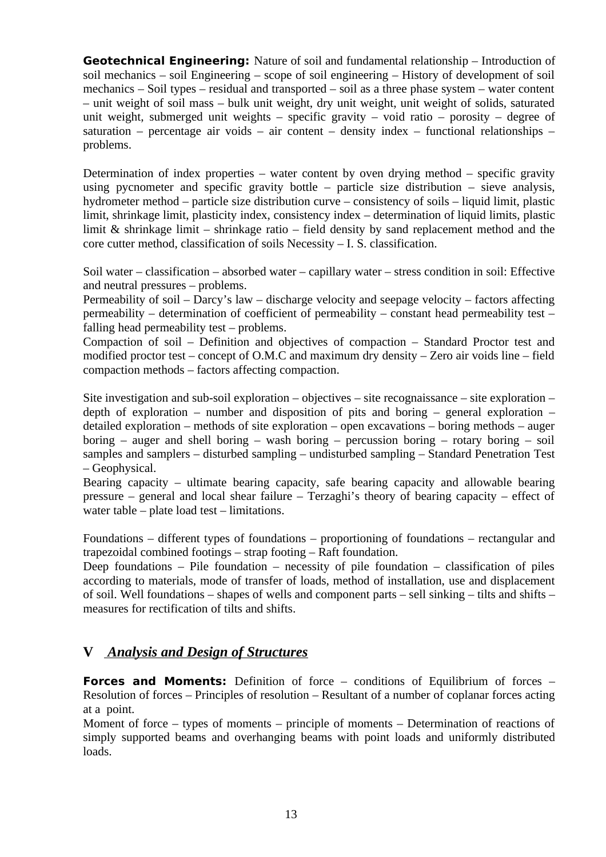**Geotechnical Engineering:** Nature of soil and fundamental relationship – Introduction of soil mechanics – soil Engineering – scope of soil engineering – History of development of soil mechanics – Soil types – residual and transported – soil as a three phase system – water content – unit weight of soil mass – bulk unit weight, dry unit weight, unit weight of solids, saturated unit weight, submerged unit weights – specific gravity – void ratio – porosity – degree of saturation – percentage air voids – air content – density index – functional relationships – problems.

Determination of index properties – water content by oven drying method – specific gravity using pycnometer and specific gravity bottle – particle size distribution – sieve analysis, hydrometer method – particle size distribution curve – consistency of soils – liquid limit, plastic limit, shrinkage limit, plasticity index, consistency index – determination of liquid limits, plastic limit & shrinkage limit – shrinkage ratio – field density by sand replacement method and the core cutter method, classification of soils Necessity – I. S. classification.

Soil water – classification – absorbed water – capillary water – stress condition in soil: Effective and neutral pressures – problems.

Permeability of soil – Darcy's law – discharge velocity and seepage velocity – factors affecting permeability – determination of coefficient of permeability – constant head permeability test – falling head permeability test – problems.

Compaction of soil – Definition and objectives of compaction – Standard Proctor test and modified proctor test – concept of O.M.C and maximum dry density – Zero air voids line – field compaction methods – factors affecting compaction.

Site investigation and sub-soil exploration – objectives – site recognaissance – site exploration – depth of exploration – number and disposition of pits and boring – general exploration – detailed exploration – methods of site exploration – open excavations – boring methods – auger boring – auger and shell boring – wash boring – percussion boring – rotary boring – soil samples and samplers – disturbed sampling – undisturbed sampling – Standard Penetration Test – Geophysical.

Bearing capacity – ultimate bearing capacity, safe bearing capacity and allowable bearing pressure – general and local shear failure – Terzaghi's theory of bearing capacity – effect of water table – plate load test – limitations.

Foundations – different types of foundations – proportioning of foundations – rectangular and trapezoidal combined footings – strap footing – Raft foundation.

Deep foundations – Pile foundation – necessity of pile foundation – classification of piles according to materials, mode of transfer of loads, method of installation, use and displacement of soil. Well foundations – shapes of wells and component parts – sell sinking – tilts and shifts – measures for rectification of tilts and shifts.

## **V** *Analysis and Design of Structures*

**Forces and Moments:** Definition of force – conditions of Equilibrium of forces – Resolution of forces – Principles of resolution – Resultant of a number of coplanar forces acting at a point.

Moment of force – types of moments – principle of moments – Determination of reactions of simply supported beams and overhanging beams with point loads and uniformly distributed loads.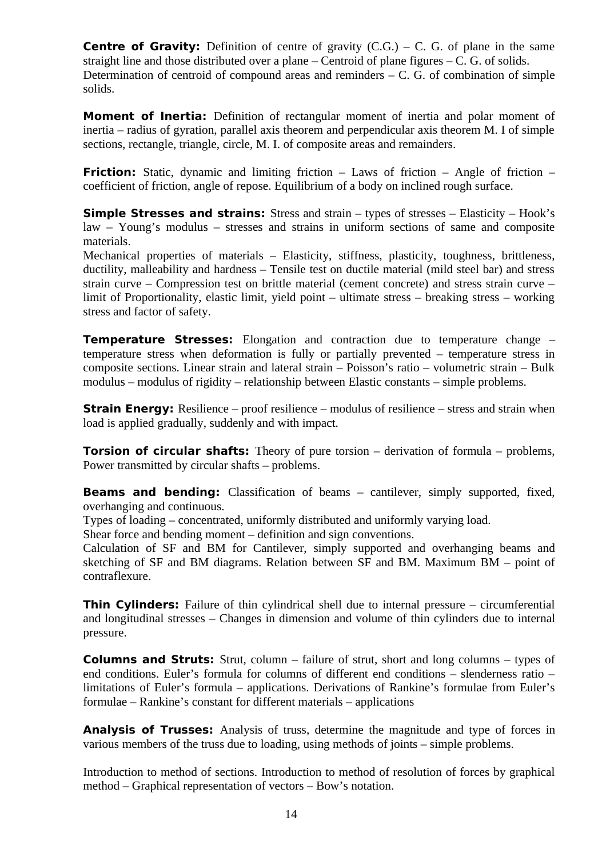**Centre of Gravity:** Definition of centre of gravity  $(C.G.) - C$ . G. of plane in the same straight line and those distributed over a plane – Centroid of plane figures –  $C$ .  $G$ . of solids. Determination of centroid of compound areas and reminders – C. G. of combination of simple solids.

**Moment of Inertia:** Definition of rectangular moment of inertia and polar moment of inertia – radius of gyration, parallel axis theorem and perpendicular axis theorem M. I of simple sections, rectangle, triangle, circle, M. I. of composite areas and remainders.

**Friction:** Static, dynamic and limiting friction – Laws of friction – Angle of friction – coefficient of friction, angle of repose. Equilibrium of a body on inclined rough surface.

**Simple Stresses and strains:** Stress and strain – types of stresses – Elasticity – Hook's law – Young's modulus – stresses and strains in uniform sections of same and composite materials.

Mechanical properties of materials – Elasticity, stiffness, plasticity, toughness, brittleness, ductility, malleability and hardness – Tensile test on ductile material (mild steel bar) and stress strain curve – Compression test on brittle material (cement concrete) and stress strain curve – limit of Proportionality, elastic limit, yield point – ultimate stress – breaking stress – working stress and factor of safety.

**Temperature Stresses:** Elongation and contraction due to temperature change – temperature stress when deformation is fully or partially prevented – temperature stress in composite sections. Linear strain and lateral strain – Poisson's ratio – volumetric strain – Bulk modulus – modulus of rigidity – relationship between Elastic constants – simple problems.

**Strain Energy:** Resilience – proof resilience – modulus of resilience – stress and strain when load is applied gradually, suddenly and with impact.

**Torsion of circular shafts:** Theory of pure torsion – derivation of formula – problems, Power transmitted by circular shafts – problems.

**Beams and bending:** Classification of beams – cantilever, simply supported, fixed, overhanging and continuous.

Types of loading – concentrated, uniformly distributed and uniformly varying load.

Shear force and bending moment – definition and sign conventions.

Calculation of SF and BM for Cantilever, simply supported and overhanging beams and sketching of SF and BM diagrams. Relation between SF and BM. Maximum BM – point of contraflexure.

**Thin Cylinders:** Failure of thin cylindrical shell due to internal pressure – circumferential and longitudinal stresses – Changes in dimension and volume of thin cylinders due to internal pressure.

**Columns and Struts:** Strut, column – failure of strut, short and long columns – types of end conditions. Euler's formula for columns of different end conditions – slenderness ratio – limitations of Euler's formula – applications. Derivations of Rankine's formulae from Euler's formulae – Rankine's constant for different materials – applications

**Analysis of Trusses:** Analysis of truss, determine the magnitude and type of forces in various members of the truss due to loading, using methods of joints – simple problems.

Introduction to method of sections. Introduction to method of resolution of forces by graphical method – Graphical representation of vectors – Bow's notation.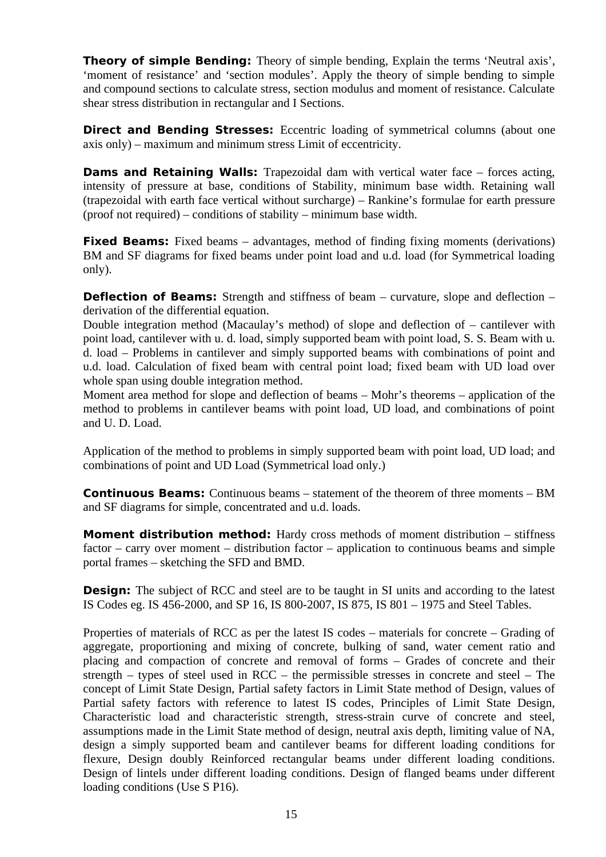**Theory of simple Bending:** Theory of simple bending, Explain the terms 'Neutral axis', 'moment of resistance' and 'section modules'. Apply the theory of simple bending to simple and compound sections to calculate stress, section modulus and moment of resistance. Calculate shear stress distribution in rectangular and I Sections.

**Direct and Bending Stresses:** Eccentric loading of symmetrical columns (about one axis only) – maximum and minimum stress Limit of eccentricity.

**Dams and Retaining Walls:** Trapezoidal dam with vertical water face – forces acting, intensity of pressure at base, conditions of Stability, minimum base width. Retaining wall (trapezoidal with earth face vertical without surcharge) – Rankine's formulae for earth pressure (proof not required) – conditions of stability – minimum base width.

**Fixed Beams:** Fixed beams – advantages, method of finding fixing moments (derivations) BM and SF diagrams for fixed beams under point load and u.d. load (for Symmetrical loading only).

**Deflection of Beams:** Strength and stiffness of beam – curvature, slope and deflection – derivation of the differential equation.

Double integration method (Macaulay's method) of slope and deflection of  $-$  cantilever with point load, cantilever with u. d. load, simply supported beam with point load, S. S. Beam with u. d. load – Problems in cantilever and simply supported beams with combinations of point and u.d. load. Calculation of fixed beam with central point load; fixed beam with UD load over whole span using double integration method.

Moment area method for slope and deflection of beams – Mohr's theorems – application of the method to problems in cantilever beams with point load, UD load, and combinations of point and U. D. Load.

Application of the method to problems in simply supported beam with point load, UD load; and combinations of point and UD Load (Symmetrical load only.)

**Continuous Beams:** Continuous beams – statement of the theorem of three moments – BM and SF diagrams for simple, concentrated and u.d. loads.

**Moment distribution method:** Hardy cross methods of moment distribution – stiffness factor – carry over moment – distribution factor – application to continuous beams and simple portal frames – sketching the SFD and BMD.

**Design:** The subject of RCC and steel are to be taught in SI units and according to the latest IS Codes eg. IS 456-2000, and SP 16, IS 800-2007, IS 875, IS 801 – 1975 and Steel Tables.

Properties of materials of RCC as per the latest IS codes – materials for concrete – Grading of aggregate, proportioning and mixing of concrete, bulking of sand, water cement ratio and placing and compaction of concrete and removal of forms – Grades of concrete and their strength – types of steel used in RCC – the permissible stresses in concrete and steel – The concept of Limit State Design, Partial safety factors in Limit State method of Design, values of Partial safety factors with reference to latest IS codes, Principles of Limit State Design, Characteristic load and characteristic strength, stress-strain curve of concrete and steel, assumptions made in the Limit State method of design, neutral axis depth, limiting value of NA, design a simply supported beam and cantilever beams for different loading conditions for flexure, Design doubly Reinforced rectangular beams under different loading conditions. Design of lintels under different loading conditions. Design of flanged beams under different loading conditions (Use S P16).